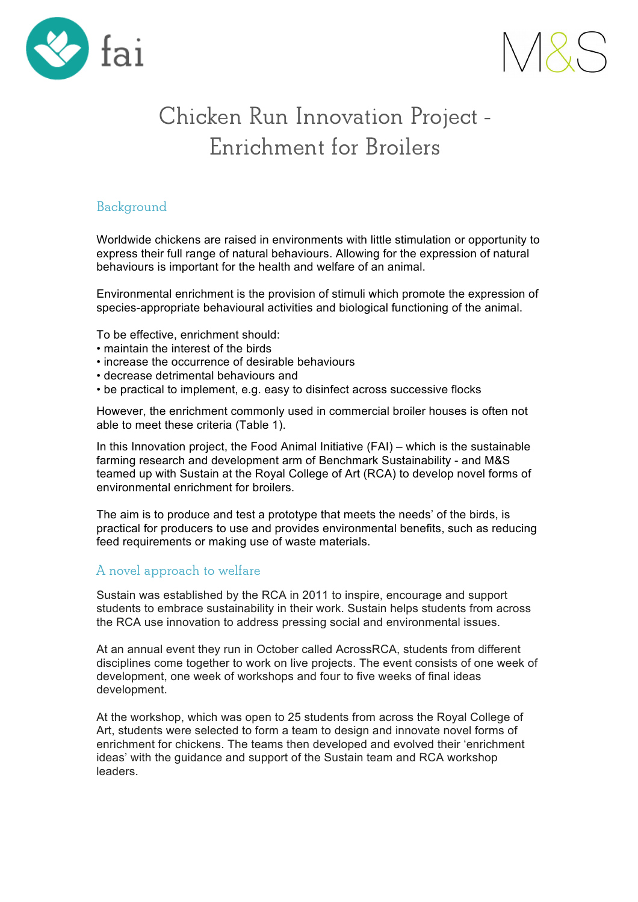



# **Chicken Run Innovation Project - Enrichment for Broilers**

## **Background**

Worldwide chickens are raised in environments with little stimulation or opportunity to express their full range of natural behaviours. Allowing for the expression of natural behaviours is important for the health and welfare of an animal.

Environmental enrichment is the provision of stimuli which promote the expression of species-appropriate behavioural activities and biological functioning of the animal.

To be effective, enrichment should:

- maintain the interest of the birds
- increase the occurrence of desirable behaviours
- decrease detrimental behaviours and
- be practical to implement, e.g. easy to disinfect across successive flocks

However, the enrichment commonly used in commercial broiler houses is often not able to meet these criteria (Table 1).

In this Innovation project, the Food Animal Initiative (FAI) – which is the sustainable farming research and development arm of Benchmark Sustainability - and M&S teamed up with Sustain at the Royal College of Art (RCA) to develop novel forms of environmental enrichment for broilers.

The aim is to produce and test a prototype that meets the needs' of the birds, is practical for producers to use and provides environmental benefits, such as reducing feed requirements or making use of waste materials.

# **A novel approach to welfare**

Sustain was established by the RCA in 2011 to inspire, encourage and support students to embrace sustainability in their work. Sustain helps students from across the RCA use innovation to address pressing social and environmental issues.

At an annual event they run in October called AcrossRCA, students from different disciplines come together to work on live projects. The event consists of one week of development, one week of workshops and four to five weeks of final ideas development.

At the workshop, which was open to 25 students from across the Royal College of Art, students were selected to form a team to design and innovate novel forms of enrichment for chickens. The teams then developed and evolved their 'enrichment ideas' with the guidance and support of the Sustain team and RCA workshop leaders.